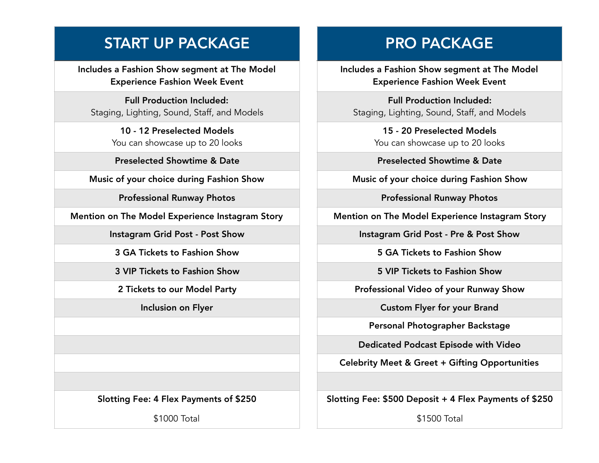## START UP PACKAGE

Includes a Fashion Show segment at The Model Experience Fashion Week Event

Full Production Included: Staging, Lighting, Sound, Staff, and Models

> 10 - 12 Preselected Models You can showcase up to 20 looks

Preselected Showtime & Date

Music of your choice during Fashion Show

Professional Runway Photos

Mention on The Model Experience Instagram Story

Instagram Grid Post - Post Show

3 GA Tickets to Fashion Show

3 VIP Tickets to Fashion Show

2 Tickets to our Model Party

Inclusion on Flyer

Slotting Fee: 4 Flex Payments of \$250

\$1000 Total

## PRO PACKAGE

Includes a Fashion Show segment at The Model Experience Fashion Week Event

Full Production Included: Staging, Lighting, Sound, Staff, and Models

> 15 - 20 Preselected Models You can showcase up to 20 looks

Preselected Showtime & Date

Music of your choice during Fashion Show

Professional Runway Photos

Mention on The Model Experience Instagram Story

Instagram Grid Post - Pre & Post Show

5 GA Tickets to Fashion Show

5 VIP Tickets to Fashion Show

Professional Video of your Runway Show

Custom Flyer for your Brand

Personal Photographer Backstage

Dedicated Podcast Episode with Video

Celebrity Meet & Greet + Gifting Opportunities

Slotting Fee: \$500 Deposit + 4 Flex Payments of \$250

\$1500 Total